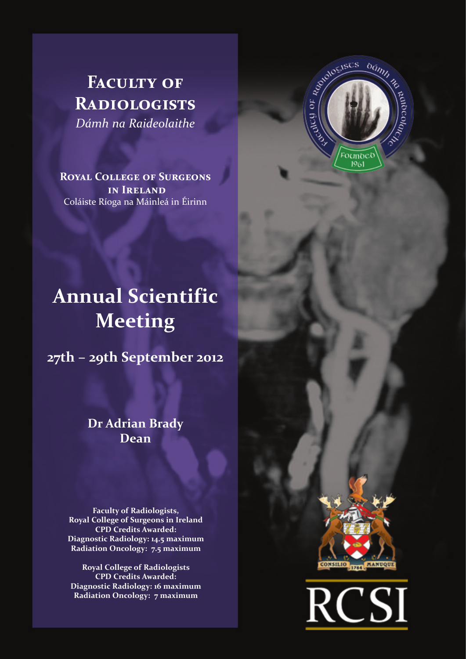**FACULTY OF Radiologists**  *Dámh na Raideolaithe*

**Royal College of Surgeons in Ireland** Coláiste Ríoga na Máinleá in Éirinn

# **Annual Scientific Meeting**

**27th – 29th September 2012**

**Dr Adrian Brady Dean** 

**Faculty of Radiologists, Royal College of Surgeons in Ireland CPD Credits Awarded: Diagnostic Radiology: 14.5 maximum Radiation Oncology: 7.5 maximum**

**Royal College of Radiologists CPD Credits Awarded: Diagnostic Radiology: 16 maximum Radiation Oncology: 7 maximum**





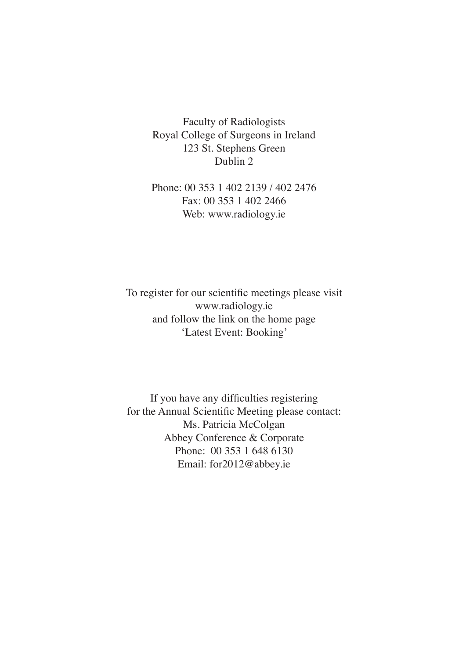Faculty of Radiologists Royal College of Surgeons in Ireland 123 St. Stephens Green Dublin 2

Phone: 00 353 1 402 2139 / 402 2476 Fax: 00 353 1 402 2466 Web: www.radiology.ie

To register for our scientific meetings please visit www.radiology.ie and follow the link on the home page 'Latest Event: Booking'

If you have any difficulties registering for the Annual Scientific Meeting please contact: Ms. Patricia McColgan Abbey Conference & Corporate Phone: 00 353 1 648 6130 Email: for2012@abbey.ie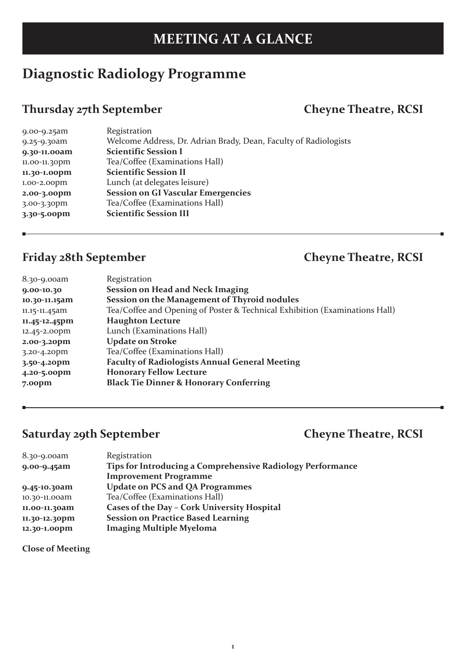## **MEETING AT A GLANCE**

### **Diagnostic Radiology Programme**

#### **Thursday 27th September Cheyne Theatre, RCSI**

| 9.00-9.25am      | Registration                                                     |
|------------------|------------------------------------------------------------------|
| 9.25-9.30am      | Welcome Address, Dr. Adrian Brady, Dean, Faculty of Radiologists |
| 9.30-11.00am     | <b>Scientific Session I</b>                                      |
| 11.00-11.30pm    | Tea/Coffee (Examinations Hall)                                   |
| 11.30-1.00pm     | <b>Scientific Session II</b>                                     |
| $1.00 - 2.00$ pm | Lunch (at delegates leisure)                                     |
| 2.00-3.00pm      | <b>Session on GI Vascular Emergencies</b>                        |
| 3.00-3.30pm      | Tea/Coffee (Examinations Hall)                                   |
| 3.30-5.00pm      | <b>Scientific Session III</b>                                    |

#### **Friday 28th September Cheyne Theatre, RCSI**

| 8.30-9.00am        | Registration                                                                |
|--------------------|-----------------------------------------------------------------------------|
| 9.00-10.30         | <b>Session on Head and Neck Imaging</b>                                     |
| 10.30-11.15am      | Session on the Management of Thyroid nodules                                |
| 11.15-11.45am      | Tea/Coffee and Opening of Poster & Technical Exhibition (Examinations Hall) |
| 11.45-12.45pm      | <b>Haughton Lecture</b>                                                     |
| 12.45-2.00pm       | Lunch (Examinations Hall)                                                   |
| 2.00-3.20pm        | <b>Update on Stroke</b>                                                     |
| $3.20 - 4.20$ pm   | Tea/Coffee (Examinations Hall)                                              |
| 3.50-4.20pm        | <b>Faculty of Radiologists Annual General Meeting</b>                       |
| 4.20-5.00pm        | <b>Honorary Fellow Lecture</b>                                              |
| 7.00 <sub>pm</sub> | <b>Black Tie Dinner &amp; Honorary Conferring</b>                           |
|                    |                                                                             |

#### **Saturday 29th September Cheyne Theatre, RCSI**

| 8.30-9.00am   | Registration                                               |
|---------------|------------------------------------------------------------|
| 9.00-9.45am   | Tips for Introducing a Comprehensive Radiology Performance |
|               | <b>Improvement Programme</b>                               |
| 9.45-10.30am  | <b>Update on PCS and QA Programmes</b>                     |
| 10.30-11.00am | Tea/Coffee (Examinations Hall)                             |
| 11.00-11.30am | Cases of the Day - Cork University Hospital                |
| 11.30-12.30pm | <b>Session on Practice Based Learning</b>                  |
| 12.30-1.00pm  | <b>Imaging Multiple Myeloma</b>                            |

**Close of Meeting**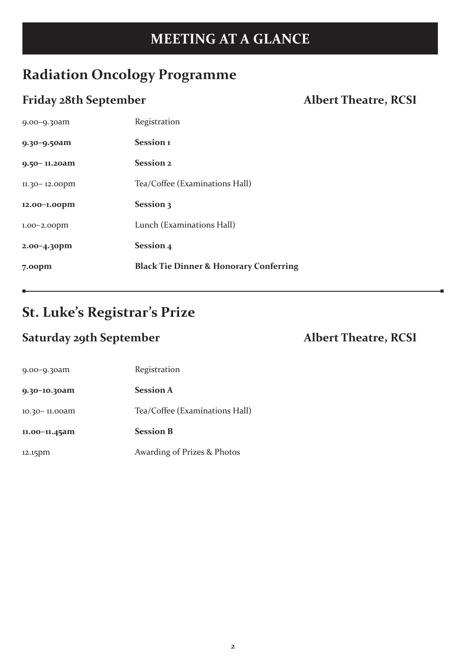## **MEETING AT A GLANCE**

### **Radiation Oncology Programme**

### **Friday 28th September Albert Theatre, RCSI**

| $9.00 - 9.30$ am   | Registration                                      |
|--------------------|---------------------------------------------------|
| $9.30 - 9.50$ am   | Session <sub>1</sub>                              |
| $9.50 - 11.20am$   | <b>Session 2</b>                                  |
| $11.30 - 12.00$ pm | Tea/Coffee (Examinations Hall)                    |
| $12.00 - 1.00$ pm  | Session 3                                         |
| $1.00 - 2.00$ pm   | Lunch (Examinations Hall)                         |
| $2.00 - 4.30$ pm   | Session 4                                         |
| 7.00 <sub>pn</sub> | <b>Black Tie Dinner &amp; Honorary Conferring</b> |

### **St. Luke's Registrar's Prize**

#### **Saturday 29th September Albert Theatre, RCSI**

| $9.00 - 9.30$ am | Registration                   |
|------------------|--------------------------------|
| 9.30-10.30am     | <b>Session A</b>               |
| 10.30-11.00am    | Tea/Coffee (Examinations Hall) |
| 11.00-11.45am    | <b>Session B</b>               |
| $12.15$ pm       | Awarding of Prizes & Photos    |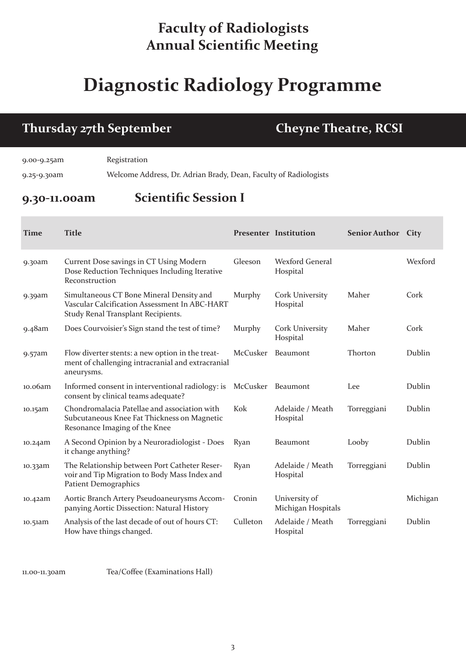### **Faculty of Radiologists Annual Scientific Meeting**

# **Diagnostic Radiology Programme**

### **Thursday 27th September Cheyne Theatre, RCSI**

9.00-9.25am Registration

9.25-9.30am Welcome Address, Dr. Adrian Brady, Dean, Faculty of Radiologists

#### **9.30-11.00am Scientific Session I**

| <b>Time</b> | <b>Title</b>                                                                                                                    |          | <b>Presenter Institution</b>        | <b>Senior Author City</b> |          |
|-------------|---------------------------------------------------------------------------------------------------------------------------------|----------|-------------------------------------|---------------------------|----------|
| $9.30$ am   | Current Dose savings in CT Using Modern<br>Dose Reduction Techniques Including Iterative<br>Reconstruction                      | Gleeson  | Wexford General<br>Hospital         |                           | Wexford  |
| 9.39am      | Simultaneous CT Bone Mineral Density and<br>Vascular Calcification Assessment In ABC-HART<br>Study Renal Transplant Recipients. | Murphy   | <b>Cork University</b><br>Hospital  | Maher                     | Cork     |
| 9.48am      | Does Courvoisier's Sign stand the test of time?                                                                                 | Murphy   | <b>Cork University</b><br>Hospital  | Maher                     | Cork     |
| 9.57am      | Flow diverter stents: a new option in the treat-<br>ment of challenging intracranial and extracranial<br>aneurysms.             | McCusker | Beaumont                            | Thorton                   | Dublin   |
| 10.06am     | Informed consent in interventional radiology: is<br>consent by clinical teams adequate?                                         | McCusker | Beaumont                            | Lee                       | Dublin   |
| 10.15am     | Chondromalacia Patellae and association with<br>Subcutaneous Knee Fat Thickness on Magnetic<br>Resonance Imaging of the Knee    | Kok      | Adelaide / Meath<br>Hospital        | Torreggiani               | Dublin   |
| 10.24am     | A Second Opinion by a Neuroradiologist - Does<br>it change anything?                                                            | Ryan     | Beaumont                            | Looby                     | Dublin   |
| 10.33am     | The Relationship between Port Catheter Reser-<br>voir and Tip Migration to Body Mass Index and<br><b>Patient Demographics</b>   | Ryan     | Adelaide / Meath<br>Hospital        | Torreggiani               | Dublin   |
| 10.42am     | Aortic Branch Artery Pseudoaneurysms Accom-<br>panying Aortic Dissection: Natural History                                       | Cronin   | University of<br>Michigan Hospitals |                           | Michigan |
| 10.51am     | Analysis of the last decade of out of hours CT:<br>How have things changed.                                                     | Culleton | Adelaide / Meath<br>Hospital        | Torreggiani               | Dublin   |

11.00-11.30am Tea/Coffee (Examinations Hall)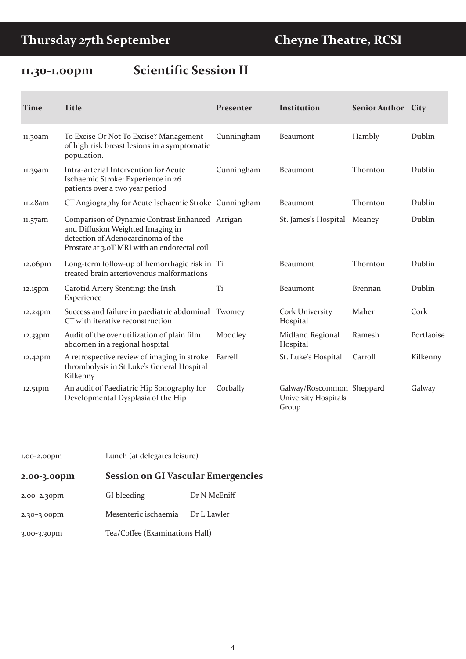## **11.30-1.00pm Scientific Session II**

| <b>Time</b> | <b>Title</b>                                                                                                                                                               | Presenter  | Institution                                                | <b>Senior Author City</b> |            |
|-------------|----------------------------------------------------------------------------------------------------------------------------------------------------------------------------|------------|------------------------------------------------------------|---------------------------|------------|
| 11.30am     | To Excise Or Not To Excise? Management<br>of high risk breast lesions in a symptomatic<br>population.                                                                      | Cunningham | Beaumont                                                   | Hambly                    | Dublin     |
| 11.39am     | Intra-arterial Intervention for Acute<br>Ischaemic Stroke: Experience in 26<br>patients over a two year period                                                             | Cunningham | Beaumont                                                   | Thornton                  | Dublin     |
| 11.48am     | CT Angiography for Acute Ischaemic Stroke Cunningham                                                                                                                       |            | Beaumont                                                   | Thornton                  | Dublin     |
| 11.57am     | Comparison of Dynamic Contrast Enhanced Arrigan<br>and Diffusion Weighted Imaging in<br>detection of Adenocarcinoma of the<br>Prostate at 3.0T MRI with an endorectal coil |            | St. James's Hospital                                       | Meaney                    | Dublin     |
| 12.06pm     | Long-term follow-up of hemorrhagic risk in Ti<br>treated brain arteriovenous malformations                                                                                 |            | Beaumont                                                   | Thornton                  | Dublin     |
| 12.15pm     | Carotid Artery Stenting: the Irish<br>Experience                                                                                                                           | Ti         | Beaumont                                                   | <b>Brennan</b>            | Dublin     |
| 12.24pm     | Success and failure in paediatric abdominal Twomey<br>CT with iterative reconstruction                                                                                     |            | Cork University<br>Hospital                                | Maher                     | Cork       |
| 12.33pm     | Audit of the over utilization of plain film<br>abdomen in a regional hospital                                                                                              | Moodley    | Midland Regional<br>Hospital                               | Ramesh                    | Portlaoise |
| 12.42pm     | A retrospective review of imaging in stroke<br>thrombolysis in St Luke's General Hospital<br>Kilkenny                                                                      | Farrell    | St. Luke's Hospital                                        | Carroll                   | Kilkenny   |
| 12.51pm     | An audit of Paediatric Hip Sonography for<br>Developmental Dysplasia of the Hip                                                                                            | Corbally   | Galway/Roscommon Sheppard<br>University Hospitals<br>Group |                           | Galway     |

| $1.00 - 2.00$ pm | Lunch (at delegates leisure)       |              |  |
|------------------|------------------------------------|--------------|--|
| 2.00-3.00pm      | Session on GI Vascular Emergencies |              |  |
| $2.00 - 2.30$ pm | GI bleeding                        | Dr N McEniff |  |
| $2.30 - 3.00$ pm | Mesenteric ischaemia               | Dr L Lawler  |  |
|                  |                                    |              |  |

3.00-3.30pm Tea/Coffee (Examinations Hall)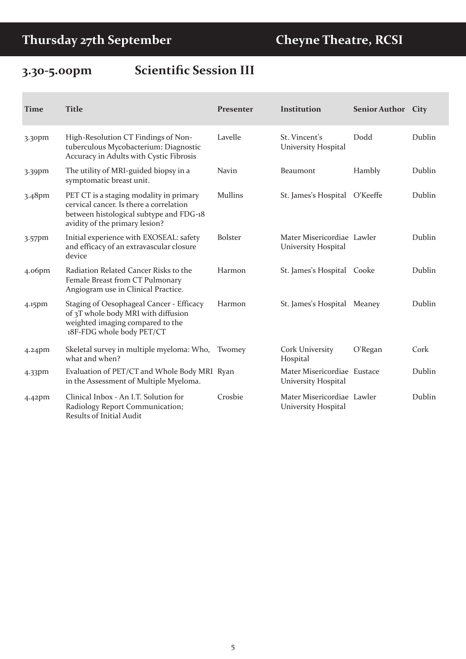## **3.30-5.00pm Scientific Session III**

| <b>Time</b> | <b>Title</b>                                                                                                                                                    | Presenter | Institution                                        | <b>Senior Author City</b> |        |
|-------------|-----------------------------------------------------------------------------------------------------------------------------------------------------------------|-----------|----------------------------------------------------|---------------------------|--------|
| $3.3$ opm   | High-Resolution CT Findings of Non-<br>tuberculous Mycobacterium: Diagnostic<br>Accuracy in Adults with Cystic Fibrosis                                         | Lavelle   | St. Vincent's<br>University Hospital               | Dodd                      | Dublin |
| $3.39$ pm   | The utility of MRI-guided biopsy in a<br>symptomatic breast unit.                                                                                               | Navin     | Beaumont                                           | Hambly                    | Dublin |
| 3.48pm      | PET CT is a staging modality in primary<br>cervical cancer. Is there a correlation<br>between histological subtype and FDG-18<br>avidity of the primary lesion? | Mullins   | St. James's Hospital O'Keeffe                      |                           | Dublin |
| $3.57$ pm   | Initial experience with EXOSEAL: safety<br>and efficacy of an extravascular closure<br>device                                                                   | Bolster   | Mater Misericordiae Lawler<br>University Hospital  |                           | Dublin |
| $4.06$ pm   | Radiation Related Cancer Risks to the<br>Female Breast from CT Pulmonary<br>Angiogram use in Clinical Practice.                                                 | Harmon    | St. James's Hospital Cooke                         |                           | Dublin |
| 4.15pm      | Staging of Oesophageal Cancer - Efficacy<br>of 3T whole body MRI with diffusion<br>weighted imaging compared to the<br>18F-FDG whole body PET/CT                | Harmon    | St. James's Hospital Meaney                        |                           | Dublin |
| $4.24$ pm   | Skeletal survey in multiple myeloma: Who,<br>what and when?                                                                                                     | Twomey    | <b>Cork University</b><br>Hospital                 | O'Regan                   | Cork   |
| 4.33pm      | Evaluation of PET/CT and Whole Body MRI Ryan<br>in the Assessment of Multiple Myeloma.                                                                          |           | Mater Misericordiae Eustace<br>University Hospital |                           | Dublin |
| $4.42$ pm   | Clinical Inbox - An I.T. Solution for<br>Radiology Report Communication;<br>Results of Initial Audit                                                            | Crosbie   | Mater Misericordiae Lawler<br>University Hospital  |                           | Dublin |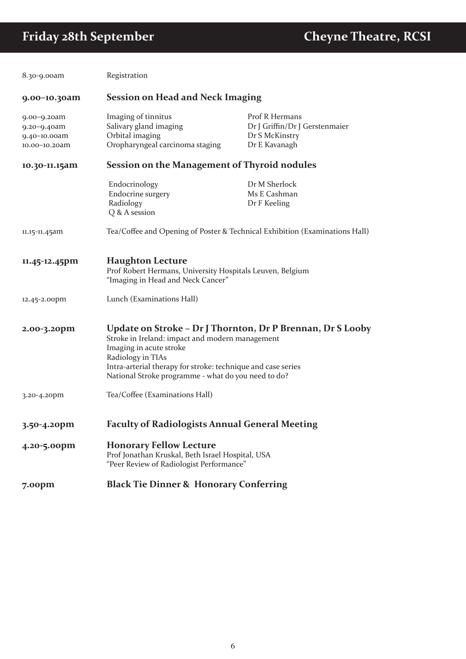| 8.30-9.00am                                                 | Registration                                                                                                                                                                                                                                                                         |                                                                                     |  |
|-------------------------------------------------------------|--------------------------------------------------------------------------------------------------------------------------------------------------------------------------------------------------------------------------------------------------------------------------------------|-------------------------------------------------------------------------------------|--|
| 9.00-10.30am                                                | <b>Session on Head and Neck Imaging</b>                                                                                                                                                                                                                                              |                                                                                     |  |
| 9.00-9.20am<br>9.20-9.40am<br>9.40-10.00am<br>10.00-10.20am | Imaging of tinnitus<br>Salivary gland imaging<br>Orbital imaging<br>Oropharyngeal carcinoma staging                                                                                                                                                                                  | Prof R Hermans<br>Dr J Griffin/Dr J Gerstenmaier<br>Dr S McKinstry<br>Dr E Kavanagh |  |
| 10.30-11.15am                                               | Session on the Management of Thyroid nodules                                                                                                                                                                                                                                         |                                                                                     |  |
|                                                             | Endocrinology<br>Endocrine surgery<br>Radiology<br>Q & A session                                                                                                                                                                                                                     | Dr M Sherlock<br>Ms E Cashman<br>Dr F Keeling                                       |  |
| 11.15-11.45am                                               |                                                                                                                                                                                                                                                                                      | Tea/Coffee and Opening of Poster & Technical Exhibition (Examinations Hall)         |  |
| 11.45-12.45pm                                               | <b>Haughton Lecture</b><br>Prof Robert Hermans, University Hospitals Leuven, Belgium<br>"Imaging in Head and Neck Cancer"                                                                                                                                                            |                                                                                     |  |
| 12.45-2.00pm                                                | Lunch (Examinations Hall)                                                                                                                                                                                                                                                            |                                                                                     |  |
| 2.00-3.20pm                                                 | Update on Stroke - Dr J Thornton, Dr P Brennan, Dr S Looby<br>Stroke in Ireland: impact and modern management<br>Imaging in acute stroke<br>Radiology in TIAs<br>Intra-arterial therapy for stroke: technique and case series<br>National Stroke programme - what do you need to do? |                                                                                     |  |
| $3.20 - 4.20$ pm                                            | Tea/Coffee (Examinations Hall)                                                                                                                                                                                                                                                       |                                                                                     |  |
| 3.50-4.20pm                                                 | <b>Faculty of Radiologists Annual General Meeting</b>                                                                                                                                                                                                                                |                                                                                     |  |
| 4.20-5.00pm                                                 | <b>Honorary Fellow Lecture</b><br>Prof Jonathan Kruskal, Beth Israel Hospital, USA<br>"Peer Review of Radiologist Performance"                                                                                                                                                       |                                                                                     |  |
| 7.00pm                                                      | <b>Black Tie Dinner &amp; Honorary Conferring</b>                                                                                                                                                                                                                                    |                                                                                     |  |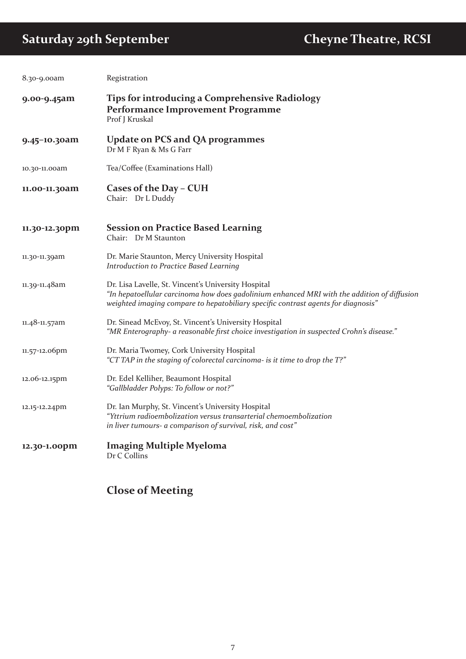## **Saturday 29th September Cheyne Theatre, RCSI**

| 8.30-9.00am   | Registration                                                                                                                                                                                                                            |
|---------------|-----------------------------------------------------------------------------------------------------------------------------------------------------------------------------------------------------------------------------------------|
| 9.00-9.45am   | <b>Tips for introducing a Comprehensive Radiology</b><br>Performance Improvement Programme<br>Prof J Kruskal                                                                                                                            |
| 9.45-10.30am  | <b>Update on PCS and QA programmes</b><br>Dr M F Ryan & Ms G Farr                                                                                                                                                                       |
| 10.30-11.00am | Tea/Coffee (Examinations Hall)                                                                                                                                                                                                          |
| 11.00-11.30am | Cases of the Day - CUH<br>Chair: Dr L Duddy                                                                                                                                                                                             |
| 11.30-12.30pm | <b>Session on Practice Based Learning</b><br>Chair: Dr M Staunton                                                                                                                                                                       |
| 11.30-11.39am | Dr. Marie Staunton, Mercy University Hospital<br>Introduction to Practice Based Learning                                                                                                                                                |
| 11.39-11.48am | Dr. Lisa Lavelle, St. Vincent's University Hospital<br>"In hepatoellular carcinoma how does gadolinium enhanced MRI with the addition of diffusion<br>weighted imaging compare to hepatobiliary specific contrast agents for diagnosis" |
| 11.48-11.57am | Dr. Sinead McEvoy, St. Vincent's University Hospital<br>"MR Enterography- a reasonable first choice investigation in suspected Crohn's disease."                                                                                        |
| 11.57-12.06pm | Dr. Maria Twomey, Cork University Hospital<br>"CT TAP in the staging of colorectal carcinoma- is it time to drop the T?"                                                                                                                |
| 12.06-12.15pm | Dr. Edel Kelliher, Beaumont Hospital<br>"Gallbladder Polyps: To follow or not?"                                                                                                                                                         |
| 12.15-12.24pm | Dr. Ian Murphy, St. Vincent's University Hospital<br>"Yttrium radioembolization versus transarterial chemoembolization<br>in liver tumours- a comparison of survival, risk, and cost"                                                   |
| 12.30-1.00pm  | <b>Imaging Multiple Myeloma</b><br>Dr C Collins                                                                                                                                                                                         |

### **Close of Meeting**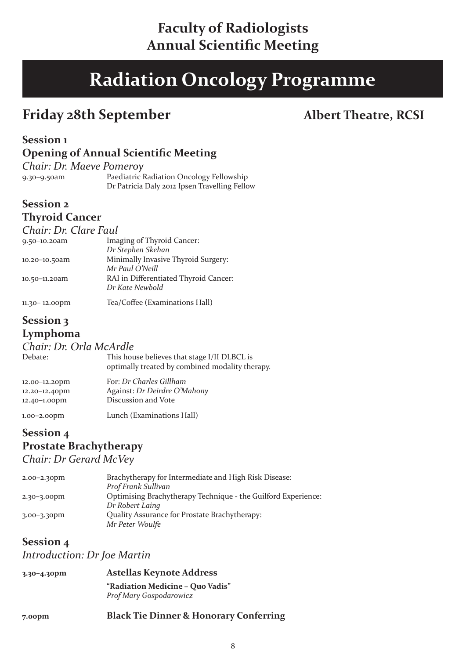### **Faculty of Radiologists Annual Scientific Meeting**

# **Radiation Oncology Programme**

## **Friday 28th September Albert Theatre, RCSI**

#### **Session 1 Opening of Annual Scientific Meeting**

|                  |                          | $\sqrt{2}$                                    |
|------------------|--------------------------|-----------------------------------------------|
|                  | Chair: Dr. Maeve Pomeroy |                                               |
| $9.30 - 9.50$ am |                          | Paediatric Radiation Oncology Fellowship      |
|                  |                          | Dr Patricia Daly 2012 Ipsen Travelling Fellow |
|                  |                          |                                               |

#### **Session 2 Thyroid Cancer**

*Chair: Dr. Clare Faul*

| Imaging of Thyroid Cancer:            |
|---------------------------------------|
| Dr Stephen Skehan                     |
| Minimally Invasive Thyroid Surgery:   |
| Mr Paul O'Neill                       |
| RAI in Differentiated Thyroid Cancer: |
| Dr Kate Newbold                       |
| Tea/Coffee (Examinations Hall)        |
|                                       |

# **Session 3**

#### **Lymphoma** *Chair: Dr. Orla McArdle*

| Chair: Dr. Oria McArale |                                                 |
|-------------------------|-------------------------------------------------|
| Debate:                 | This house believes that stage I/II DLBCL is    |
|                         | optimally treated by combined modality therapy. |

| 12.00-12.20pm     | For: Dr Charles Gillham      |
|-------------------|------------------------------|
| 12.20-12.40pm     | Against: Dr Deirdre O'Mahony |
| $12.40 - 1.00$ pm | Discussion and Vote          |
| $1.00 - 2.00$ pm  | Lunch (Examinations Hall)    |

#### **Session 4 Prostate Brachytherapy** *Chair: Dr Gerard McVey*

| $2.00 - 2.30$ pm | Brachytherapy for Intermediate and High Risk Disease:<br>Prof Frank Sullivan     |
|------------------|----------------------------------------------------------------------------------|
| $2.30 - 3.00$ pm | Optimising Brachytherapy Technique - the Guilford Experience:<br>Dr Robert Laing |
| $3.00 - 3.30$ pm | Quality Assurance for Prostate Brachytherapy:<br>Mr Peter Woulfe                 |

#### **Session 4**

#### *Introduction: Dr Joe Martin*

| $3.30 - 4.30$ pm | Astellas Keynote Address         |
|------------------|----------------------------------|
|                  | "Radiation Medicine - Quo Vadis" |
|                  | Prof Mary Gospodarowicz          |

| 7.00 <sub>pm</sub> | <b>Black Tie Dinner &amp; Honorary Conferring</b> |  |
|--------------------|---------------------------------------------------|--|
|                    |                                                   |  |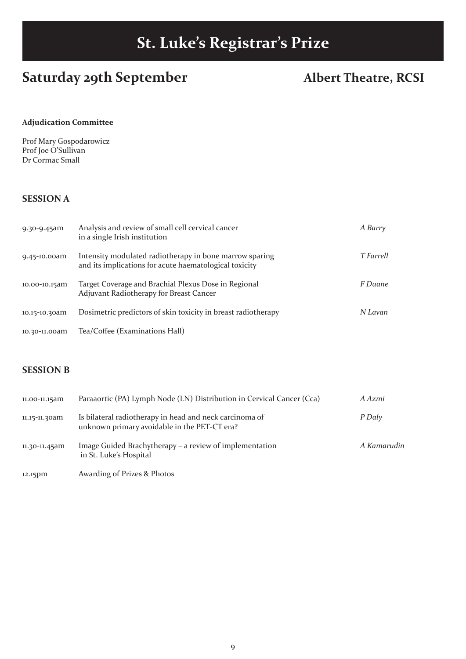# **St. Luke's Registrar's Prize**

## Saturday 29th September Albert Theatre, RCSI

#### **Adjudication Committee**

Prof Mary Gospodarowicz Prof Joe O'Sullivan Dr Cormac Small

#### **SESSION A**

| 9.30-9.45am   | Analysis and review of small cell cervical cancer<br>in a single Irish institution                                | A Barry   |
|---------------|-------------------------------------------------------------------------------------------------------------------|-----------|
| 9.45-10.00am  | Intensity modulated radiotherapy in bone marrow sparing<br>and its implications for acute haematological toxicity | T Farrell |
| 10.00-10.15am | Target Coverage and Brachial Plexus Dose in Regional<br>Adjuvant Radiotherapy for Breast Cancer                   | F Duane   |
| 10.15-10.30am | Dosimetric predictors of skin toxicity in breast radiotherapy                                                     | N Lavan   |
| 10.30-11.00am | Tea/Coffee (Examinations Hall)                                                                                    |           |

#### **SESSION B**

| 11.00-11.15am | Paraaortic (PA) Lymph Node (LN) Distribution in Cervical Cancer (Cca)                                   | A Azmi      |
|---------------|---------------------------------------------------------------------------------------------------------|-------------|
| 11.15-11.30am | Is bilateral radiotherapy in head and neck carcinoma of<br>unknown primary avoidable in the PET-CT era? | P Daly      |
| 11.30-11.45am | Image Guided Brachytherapy - a review of implementation<br>in St. Luke's Hospital                       | A Kamarudin |
| 12.15pm       | Awarding of Prizes & Photos                                                                             |             |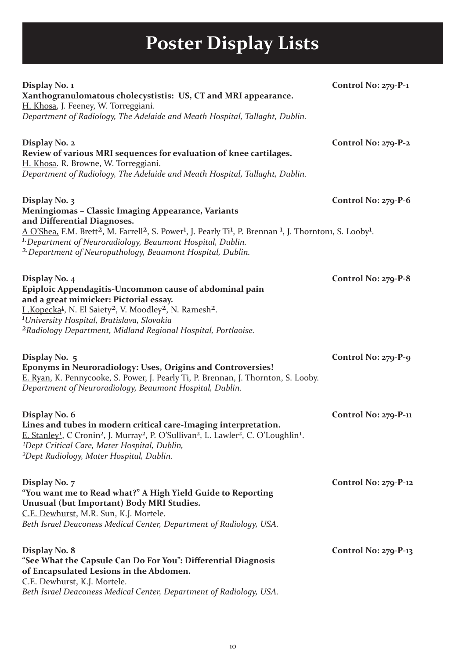# **Poster Display Lists**

| Display No. 1<br>Xanthogranulomatous cholecystistis: US, CT and MRI appearance.<br>H. Khosa, J. Feeney, W. Torreggiani.<br>Department of Radiology, The Adelaide and Meath Hospital, Tallaght, Dublin.                                                                                                                                                                                                                                             | Control No: $279-P-1$  |
|----------------------------------------------------------------------------------------------------------------------------------------------------------------------------------------------------------------------------------------------------------------------------------------------------------------------------------------------------------------------------------------------------------------------------------------------------|------------------------|
| Display No. 2<br>Review of various MRI sequences for evaluation of knee cartilages.<br>H. Khosa. R. Browne, W. Torreggiani.<br>Department of Radiology, The Adelaide and Meath Hospital, Tallaght, Dublin.                                                                                                                                                                                                                                         | Control No: 279-P-2    |
| Display No. 3<br><b>Meningiomas - Classic Imaging Appearance, Variants</b><br>and Differential Diagnoses.<br>A O'Shea, F.M. Brett <sup>2</sup> , M. Farrell <sup>2</sup> , S. Power <sup>1</sup> , J. Pearly Ti <sup>1</sup> , P. Brennan <sup>1</sup> , J. Thorntoni, S. Looby <sup>1</sup> .<br><sup>1.</sup> Department of Neuroradiology, Beaumont Hospital, Dublin.<br><sup>2.</sup> Department of Neuropathology, Beaumont Hospital, Dublin. | Control No: $279-P-6$  |
| Display No. 4<br>Epiploic Appendagitis-Uncommon cause of abdominal pain<br>and a great mimicker: Pictorial essay.<br>I.Kopecka <sup>1</sup> , N. El Saiety <sup>2</sup> , V. Moodley <sup>2</sup> , N. Ramesh <sup>2</sup> .<br><sup>1</sup> University Hospital, Bratislava, Slovakia<br><sup>2</sup> Radiology Department, Midland Regional Hospital, Portlaoise.                                                                                | Control No: 279-P-8    |
| Display No. 5<br>Eponyms in Neuroradiology: Uses, Origins and Controversies!<br>E. Ryan, K. Pennycooke, S. Power, J. Pearly Ti, P. Brennan, J. Thornton, S. Looby.<br>Department of Neuroradiology, Beaumont Hospital, Dublin.                                                                                                                                                                                                                     | Control No: 279-P-9    |
| Display No. 6<br>Lines and tubes in modern critical care-Imaging interpretation.<br>E. Stanley <sup>1</sup> , C Cronin <sup>2</sup> , J. Murray <sup>2</sup> , P. O'Sullivan <sup>2</sup> , L. Lawler <sup>2</sup> , C. O'Loughlin <sup>1</sup> .<br><sup>1</sup> Dept Critical Care, Mater Hospital, Dublin,<br><sup>2</sup> Dept Radiology, Mater Hospital, Dublin.                                                                              | Control No: $279-P-11$ |
| Display No. 7<br>"You want me to Read what?" A High Yield Guide to Reporting<br>Unusual (but Important) Body MRI Studies.<br>C.E. Dewhurst, M.R. Sun, K.J. Mortele.<br>Beth Israel Deaconess Medical Center, Department of Radiology, USA.                                                                                                                                                                                                         | Control No: $279-P-12$ |
| Display No. 8<br>"See What the Capsule Can Do For You": Differential Diagnosis<br>of Encapsulated Lesions in the Abdomen.<br>C.E. Dewhurst, K.J. Mortele.<br>Beth Israel Deaconess Medical Center, Department of Radiology, USA.                                                                                                                                                                                                                   | Control No: $279-P-13$ |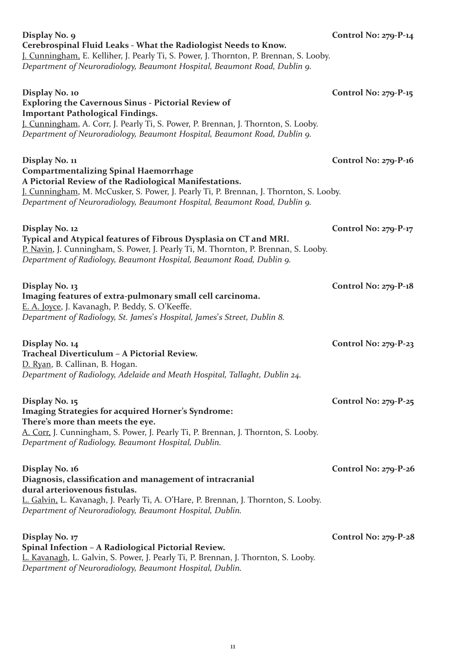| Display No. 9<br>Cerebrospinal Fluid Leaks - What the Radiologist Needs to Know.<br>J. Cunningham, E. Kelliher, J. Pearly Ti, S. Power, J. Thornton, P. Brennan, S. Looby.<br>Department of Neuroradiology, Beaumont Hospital, Beaumont Road, Dublin 9.                                         | Control No: $279-P-14$      |
|-------------------------------------------------------------------------------------------------------------------------------------------------------------------------------------------------------------------------------------------------------------------------------------------------|-----------------------------|
| Display No. 10<br><b>Exploring the Cavernous Sinus - Pictorial Review of</b><br><b>Important Pathological Findings.</b><br>J. Cunningham, A. Corr, J. Pearly Ti, S. Power, P. Brennan, J. Thornton, S. Looby.<br>Department of Neuroradiology, Beaumont Hospital, Beaumont Road, Dublin 9.      | <b>Control No: 279-P-15</b> |
| Display No. 11<br><b>Compartmentalizing Spinal Haemorrhage</b><br>A Pictorial Review of the Radiological Manifestations.<br>J. Cunningham, M. McCusker, S. Power, J. Pearly Ti, P. Brennan, J. Thornton, S. Looby.<br>Department of Neuroradiology, Beaumont Hospital, Beaumont Road, Dublin 9. | <b>Control No: 279-P-16</b> |
| Display No. 12<br>Typical and Atypical features of Fibrous Dysplasia on CT and MRI.<br>P. Navin, J. Cunningham, S. Power, J. Pearly Ti, M. Thornton, P. Brennan, S. Looby.<br>Department of Radiology, Beaumont Hospital, Beaumont Road, Dublin 9.                                              | Control No: $279-P-17$      |
| Display No. 13<br>Imaging features of extra-pulmonary small cell carcinoma.<br>E. A. Joyce, J. Kavanagh, P. Beddy, S. O'Keeffe.<br>Department of Radiology, St. James's Hospital, James's Street, Dublin 8.                                                                                     | Control No: $279-P-18$      |
| Display No. 14<br>Tracheal Diverticulum - A Pictorial Review.<br>D. Ryan, B. Callinan, B. Hogan.<br>Department of Radiology, Adelaide and Meath Hospital, Tallaght, Dublin 24.                                                                                                                  | Control No: $279-P-23$      |
| Display No. 15<br>Imaging Strategies for acquired Horner's Syndrome:<br>There's more than meets the eye.<br>A. Corr, J. Cunningham, S. Power, J. Pearly Ti, P. Brennan, J. Thornton, S. Looby.<br>Department of Radiology, Beaumont Hospital, Dublin.                                           | Control No: $279-P-25$      |
| Display No. 16<br>Diagnosis, classification and management of intracranial<br>dural arteriovenous fistulas.<br>L. Galvin, L. Kavanagh, J. Pearly Ti, A. O'Hare, P. Brennan, J. Thornton, S. Looby.<br>Department of Neuroradiology, Beaumont Hospital, Dublin.                                  | Control No: $279-P-26$      |
| Display No. 17<br>Spinal Infection - A Radiological Pictorial Review.<br>L. Kavanagh, L. Galvin, S. Power, J. Pearly Ti, P. Brennan, J. Thornton, S. Looby.                                                                                                                                     | <b>Control No: 279-P-28</b> |

*Department of Neuroradiology, Beaumont Hospital, Dublin.*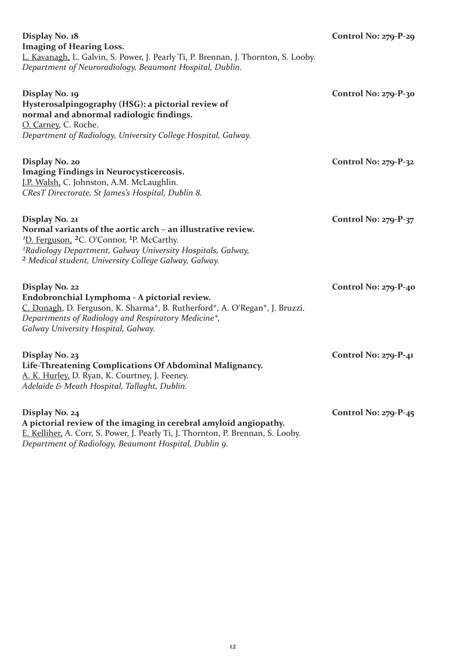**Display No. 18 Control No: 279-P-29 Imaging of Hearing Loss.** L. Kavanagh, L. Galvin, S. Power, J. Pearly Ti, P. Brennan, J. Thornton, S. Looby. *Department of Neuroradiology, Beaumont Hospital, Dublin.*

| Display No. 19<br>Hysterosalpingography (HSG): a pictorial review of<br>normal and abnormal radiologic findings.<br>O. Carney, C. Roche.<br>Department of Radiology, University College Hospital, Galway.                                                                                                      | Control No: $279-P-30$      |
|----------------------------------------------------------------------------------------------------------------------------------------------------------------------------------------------------------------------------------------------------------------------------------------------------------------|-----------------------------|
| Display No. 20<br><b>Imaging Findings in Neurocysticercosis.</b><br>J.P. Walsh, C. Johnston, A.M. McLaughlin.<br>CResT Directorate, St James's Hospital, Dublin 8.                                                                                                                                             | Control No: $279-P-32$      |
| Display No. 21<br>Normal variants of the aortic arch - an illustrative review.<br><sup>1</sup> D. Ferguson, <sup>2</sup> C. O'Connor, <sup>1</sup> P. McCarthy.<br><sup>1</sup> Radiology Department, Galway University Hospitals, Galway,<br><sup>2</sup> Medical student, University College Galway, Galway. | <b>Control No: 279-P-37</b> |
| Display No. 22<br>Endobronchial Lymphoma - A pictorial review.<br>C. Donagh, D. Ferguson, K. Sharma*, B. Rutherford*, A. O'Regan*, J. Bruzzi.<br>Departments of Radiology and Respiratory Medicine*,<br>Galway University Hospital, Galway.                                                                    | Control No: 279-P-40        |
| Display No. 23<br>Life-Threatening Complications Of Abdominal Malignancy.<br>A. K. Hurley, D. Ryan, K. Courtney, J. Feeney.<br>Adelaide & Meath Hospital, Tallaght, Dublin.                                                                                                                                    | Control No: $279-P-41$      |
| Display No. 24<br>A pictorial review of the imaging in cerebral amyloid angiopathy.<br>E. Kelliher, A. Corr, S. Power, J. Pearly Ti, J. Thornton, P. Brennan, S. Looby.                                                                                                                                        | <b>Control No: 279-P-45</b> |

*Department of Radiology, Beaumont Hospital, Dublin 9.*